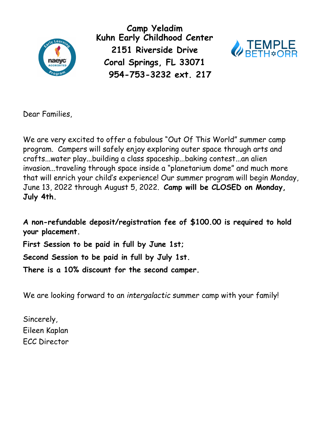

**Camp Yeladim Kuhn Early Childhood Center 2151 Riverside Drive Coral Springs, FL 33071 954-753-3232 ext. 217** 



Dear Families,

We are very excited to offer a fabulous "Out Of This World" summer camp program. Campers will safely enjoy exploring outer space through arts and crafts...water play...building a class spaceship...baking contest...an alien invasion...traveling through space inside a "planetarium dome" and much more that will enrich your child's experience! Our summer program will begin Monday, June 13, 2022 through August 5, 2022. **Camp will be CLOSED on Monday, July 4th.**

**A non-refundable deposit/registration fee of \$100.00 is required to hold your placement.** 

**First Session to be paid in full by June 1st;** 

**Second Session to be paid in full by July 1st.** 

**There is a 10% discount for the second camper.**

We are looking forward to an *intergalactic* summer camp with your family!

Sincerely, Eileen Kaplan ECC Director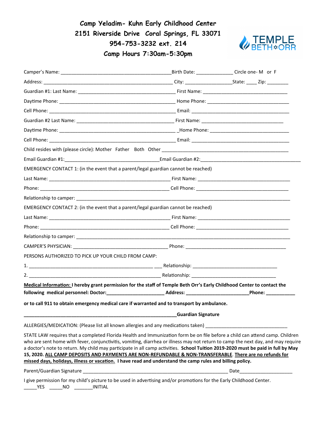**Camp Yeladim- Kuhn Early Childhood Center 2151 Riverside Drive Coral Springs, FL 33071 954-753-3232 ext. 214 Camp Hours 7:30am-5:30pm**



|                                                                                                                                                                                                                                                                                                                                                                                                                                                                                                                                                                                                                               |                           | Birth Date: ______________Circle one-M or F |
|-------------------------------------------------------------------------------------------------------------------------------------------------------------------------------------------------------------------------------------------------------------------------------------------------------------------------------------------------------------------------------------------------------------------------------------------------------------------------------------------------------------------------------------------------------------------------------------------------------------------------------|---------------------------|---------------------------------------------|
|                                                                                                                                                                                                                                                                                                                                                                                                                                                                                                                                                                                                                               |                           |                                             |
|                                                                                                                                                                                                                                                                                                                                                                                                                                                                                                                                                                                                                               |                           |                                             |
|                                                                                                                                                                                                                                                                                                                                                                                                                                                                                                                                                                                                                               |                           |                                             |
|                                                                                                                                                                                                                                                                                                                                                                                                                                                                                                                                                                                                                               |                           |                                             |
|                                                                                                                                                                                                                                                                                                                                                                                                                                                                                                                                                                                                                               |                           |                                             |
|                                                                                                                                                                                                                                                                                                                                                                                                                                                                                                                                                                                                                               |                           |                                             |
|                                                                                                                                                                                                                                                                                                                                                                                                                                                                                                                                                                                                                               |                           |                                             |
|                                                                                                                                                                                                                                                                                                                                                                                                                                                                                                                                                                                                                               |                           |                                             |
|                                                                                                                                                                                                                                                                                                                                                                                                                                                                                                                                                                                                                               |                           |                                             |
| EMERGENCY CONTACT 1: (in the event that a parent/legal guardian cannot be reached)                                                                                                                                                                                                                                                                                                                                                                                                                                                                                                                                            |                           |                                             |
|                                                                                                                                                                                                                                                                                                                                                                                                                                                                                                                                                                                                                               |                           |                                             |
|                                                                                                                                                                                                                                                                                                                                                                                                                                                                                                                                                                                                                               |                           |                                             |
|                                                                                                                                                                                                                                                                                                                                                                                                                                                                                                                                                                                                                               |                           |                                             |
| EMERGENCY CONTACT 2: (in the event that a parent/legal guardian cannot be reached)                                                                                                                                                                                                                                                                                                                                                                                                                                                                                                                                            |                           |                                             |
|                                                                                                                                                                                                                                                                                                                                                                                                                                                                                                                                                                                                                               |                           |                                             |
|                                                                                                                                                                                                                                                                                                                                                                                                                                                                                                                                                                                                                               |                           |                                             |
|                                                                                                                                                                                                                                                                                                                                                                                                                                                                                                                                                                                                                               |                           |                                             |
|                                                                                                                                                                                                                                                                                                                                                                                                                                                                                                                                                                                                                               |                           |                                             |
| PERSONS AUTHORIZED TO PICK UP YOUR CHILD FROM CAMP:                                                                                                                                                                                                                                                                                                                                                                                                                                                                                                                                                                           |                           |                                             |
|                                                                                                                                                                                                                                                                                                                                                                                                                                                                                                                                                                                                                               |                           |                                             |
|                                                                                                                                                                                                                                                                                                                                                                                                                                                                                                                                                                                                                               |                           |                                             |
| Medical Information: I hereby grant permission for the staff of Temple Beth Orr's Early Childhood Center to contact the<br>following medical personnel: Doctor:_______________________________Address: ________________________                                                                                                                                                                                                                                                                                                                                                                                               |                           | Phone: ________                             |
| or to call 911 to obtain emergency medical care if warranted and to transport by ambulance.                                                                                                                                                                                                                                                                                                                                                                                                                                                                                                                                   |                           |                                             |
|                                                                                                                                                                                                                                                                                                                                                                                                                                                                                                                                                                                                                               | <b>Guardian Signature</b> |                                             |
| ALLERGIES/MEDICATION: (Please list all known allergies and any medications taken) ____________________________                                                                                                                                                                                                                                                                                                                                                                                                                                                                                                                |                           |                                             |
| STATE LAW requires that a completed Florida Health and Immunization form be on file before a child can attend camp. Children<br>who are sent home with fever, conjunctivitis, vomiting, diarrhea or illness may not return to camp the next day, and may require<br>a doctor's note to return. My child may participate in all camp activities. School Tuition 2019-2020 must be paid in full by May<br>15, 2020. ALL CAMP DEPOSITS AND PAYMENTS ARE NON-REFUNDABLE & NON-TRANSFERABLE. There are no refunds for<br>missed days, holidays, illness or vacation. I have read and understand the camp rules and billing policy. |                           |                                             |
|                                                                                                                                                                                                                                                                                                                                                                                                                                                                                                                                                                                                                               |                           |                                             |
| I give permission for my child's picture to be used in advertising and/or promotions for the Early Childhood Center.                                                                                                                                                                                                                                                                                                                                                                                                                                                                                                          |                           |                                             |

\_\_\_\_\_YES \_\_\_\_\_NO \_\_\_\_\_\_\_INITIAL